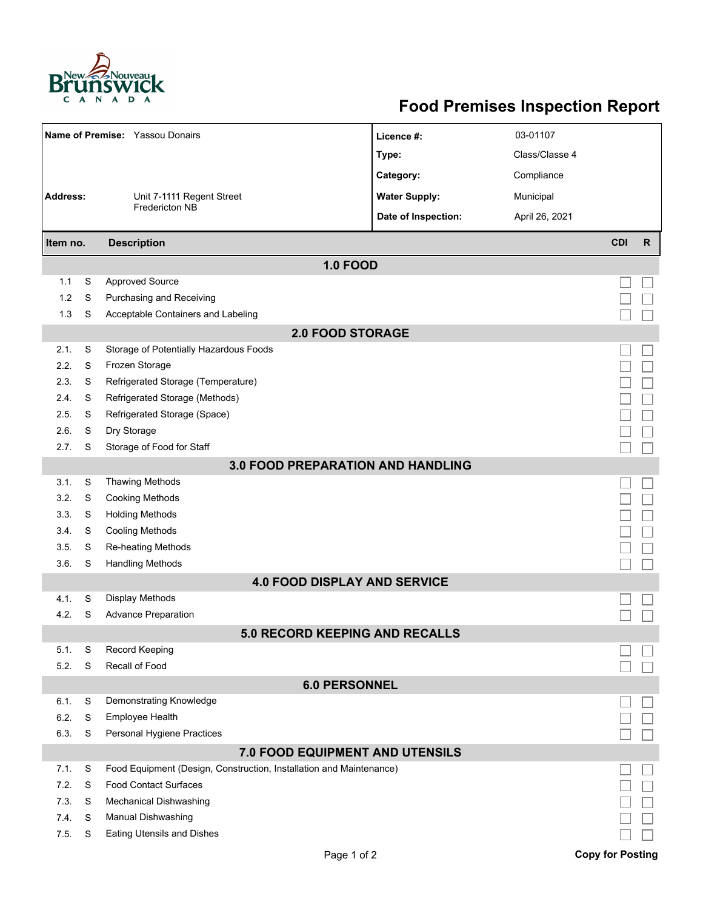

## **Food Premises Inspection Report**

|                                          |   | Name of Premise: Yassou Donairs                                     | Licence #:           |  | 03-01107       |                         |              |  |  |  |
|------------------------------------------|---|---------------------------------------------------------------------|----------------------|--|----------------|-------------------------|--------------|--|--|--|
|                                          |   |                                                                     | Type:                |  | Class/Classe 4 |                         |              |  |  |  |
|                                          |   |                                                                     | Category:            |  | Compliance     |                         |              |  |  |  |
| <b>Address:</b>                          |   | Unit 7-1111 Regent Street                                           | <b>Water Supply:</b> |  | Municipal      |                         |              |  |  |  |
|                                          |   | Fredericton NB                                                      | Date of Inspection:  |  | April 26, 2021 |                         |              |  |  |  |
|                                          |   |                                                                     |                      |  |                |                         |              |  |  |  |
| <b>Description</b><br>Item no.           |   |                                                                     |                      |  |                | <b>CDI</b>              | $\mathsf{R}$ |  |  |  |
|                                          |   |                                                                     | <b>1.0 FOOD</b>      |  |                |                         |              |  |  |  |
| 1.1                                      | S | <b>Approved Source</b>                                              |                      |  |                |                         |              |  |  |  |
| 1.2                                      | S | Purchasing and Receiving                                            |                      |  |                |                         |              |  |  |  |
| 1.3                                      | S | Acceptable Containers and Labeling                                  |                      |  |                |                         |              |  |  |  |
| <b>2.0 FOOD STORAGE</b>                  |   |                                                                     |                      |  |                |                         |              |  |  |  |
| 2.1.                                     | S | Storage of Potentially Hazardous Foods                              |                      |  |                |                         |              |  |  |  |
| 2.2.                                     | S | Frozen Storage                                                      |                      |  |                |                         |              |  |  |  |
| 2.3.                                     | S | Refrigerated Storage (Temperature)                                  |                      |  |                |                         |              |  |  |  |
| 2.4.                                     | S | Refrigerated Storage (Methods)                                      |                      |  |                |                         |              |  |  |  |
| 2.5.                                     | S | Refrigerated Storage (Space)                                        |                      |  |                |                         |              |  |  |  |
| 2.6.                                     | S | Dry Storage                                                         |                      |  |                |                         |              |  |  |  |
| 2.7.                                     | S | Storage of Food for Staff                                           |                      |  |                |                         |              |  |  |  |
| <b>3.0 FOOD PREPARATION AND HANDLING</b> |   |                                                                     |                      |  |                |                         |              |  |  |  |
| 3.1.                                     | S | <b>Thawing Methods</b>                                              |                      |  |                |                         |              |  |  |  |
| 3.2.                                     | S | <b>Cooking Methods</b>                                              |                      |  |                |                         |              |  |  |  |
| 3.3.                                     | S | <b>Holding Methods</b>                                              |                      |  |                |                         |              |  |  |  |
| 3.4.                                     | S | <b>Cooling Methods</b>                                              |                      |  |                |                         |              |  |  |  |
| 3.5.                                     | S | Re-heating Methods                                                  |                      |  |                |                         |              |  |  |  |
| 3.6.                                     | S | <b>Handling Methods</b>                                             |                      |  |                |                         |              |  |  |  |
| <b>4.0 FOOD DISPLAY AND SERVICE</b>      |   |                                                                     |                      |  |                |                         |              |  |  |  |
| 4.1.                                     | S | Display Methods                                                     |                      |  |                |                         |              |  |  |  |
| 4.2.                                     | S | <b>Advance Preparation</b>                                          |                      |  |                |                         |              |  |  |  |
| 5.0 RECORD KEEPING AND RECALLS           |   |                                                                     |                      |  |                |                         |              |  |  |  |
| 5.1.                                     | S | Record Keeping                                                      |                      |  |                |                         |              |  |  |  |
| 5.2.                                     | S | Recall of Food                                                      |                      |  |                |                         |              |  |  |  |
| <b>6.0 PERSONNEL</b>                     |   |                                                                     |                      |  |                |                         |              |  |  |  |
| 6.1.                                     | S | Demonstrating Knowledge                                             |                      |  |                |                         |              |  |  |  |
| 6.2.                                     | S | Employee Health                                                     |                      |  |                |                         |              |  |  |  |
| 6.3.                                     | S | Personal Hygiene Practices                                          |                      |  |                |                         |              |  |  |  |
| 7.0 FOOD EQUIPMENT AND UTENSILS          |   |                                                                     |                      |  |                |                         |              |  |  |  |
| 7.1.                                     | S | Food Equipment (Design, Construction, Installation and Maintenance) |                      |  |                |                         |              |  |  |  |
| 7.2.                                     | S | <b>Food Contact Surfaces</b>                                        |                      |  |                |                         |              |  |  |  |
| 7.3                                      | S | <b>Mechanical Dishwashing</b>                                       |                      |  |                |                         |              |  |  |  |
| 7.4.                                     | S | Manual Dishwashing                                                  |                      |  |                |                         |              |  |  |  |
| 7.5.                                     | S | <b>Eating Utensils and Dishes</b>                                   |                      |  |                |                         |              |  |  |  |
|                                          |   |                                                                     | Page 1 of 2          |  |                | <b>Copy for Posting</b> |              |  |  |  |